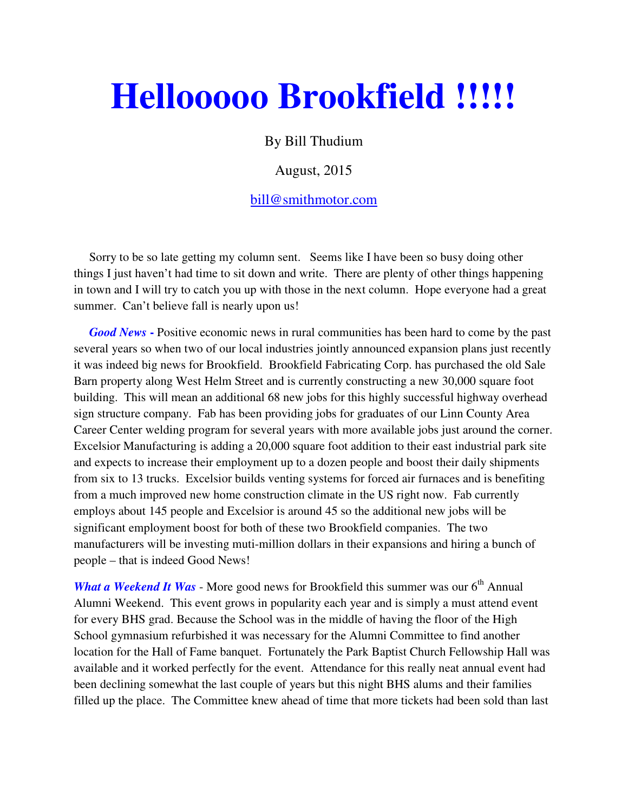## **Hellooooo Brookfield !!!!!**

By Bill Thudium

## August, 2015

## bill@smithmotor.com

 Sorry to be so late getting my column sent. Seems like I have been so busy doing other things I just haven't had time to sit down and write. There are plenty of other things happening in town and I will try to catch you up with those in the next column. Hope everyone had a great summer. Can't believe fall is nearly upon us!

*Good News* - Positive economic news in rural communities has been hard to come by the past several years so when two of our local industries jointly announced expansion plans just recently it was indeed big news for Brookfield. Brookfield Fabricating Corp. has purchased the old Sale Barn property along West Helm Street and is currently constructing a new 30,000 square foot building. This will mean an additional 68 new jobs for this highly successful highway overhead sign structure company. Fab has been providing jobs for graduates of our Linn County Area Career Center welding program for several years with more available jobs just around the corner. Excelsior Manufacturing is adding a 20,000 square foot addition to their east industrial park site and expects to increase their employment up to a dozen people and boost their daily shipments from six to 13 trucks. Excelsior builds venting systems for forced air furnaces and is benefiting from a much improved new home construction climate in the US right now. Fab currently employs about 145 people and Excelsior is around 45 so the additional new jobs will be significant employment boost for both of these two Brookfield companies. The two manufacturers will be investing muti-million dollars in their expansions and hiring a bunch of people – that is indeed Good News!

*What a Weekend It Was* - More good news for Brookfield this summer was our 6<sup>th</sup> Annual Alumni Weekend. This event grows in popularity each year and is simply a must attend event for every BHS grad. Because the School was in the middle of having the floor of the High School gymnasium refurbished it was necessary for the Alumni Committee to find another location for the Hall of Fame banquet. Fortunately the Park Baptist Church Fellowship Hall was available and it worked perfectly for the event. Attendance for this really neat annual event had been declining somewhat the last couple of years but this night BHS alums and their families filled up the place. The Committee knew ahead of time that more tickets had been sold than last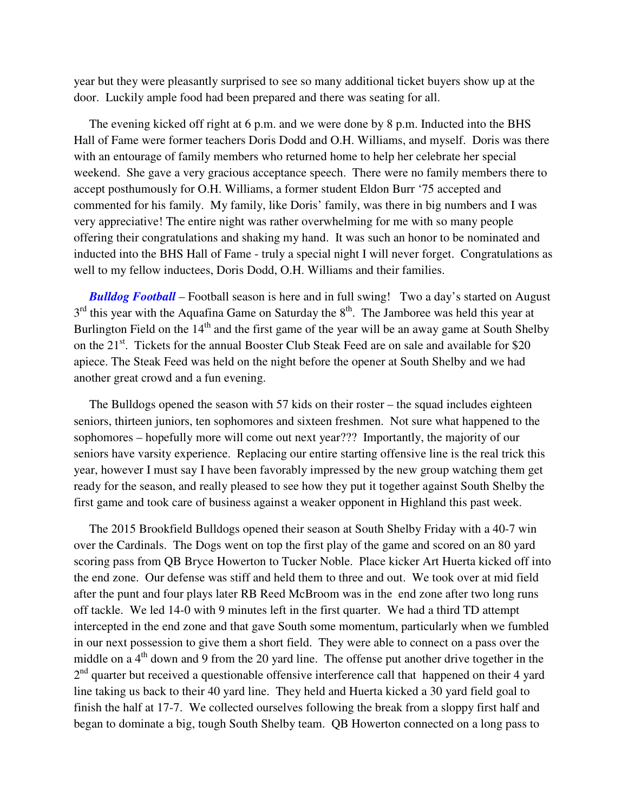year but they were pleasantly surprised to see so many additional ticket buyers show up at the door. Luckily ample food had been prepared and there was seating for all.

 The evening kicked off right at 6 p.m. and we were done by 8 p.m. Inducted into the BHS Hall of Fame were former teachers Doris Dodd and O.H. Williams, and myself. Doris was there with an entourage of family members who returned home to help her celebrate her special weekend. She gave a very gracious acceptance speech. There were no family members there to accept posthumously for O.H. Williams, a former student Eldon Burr '75 accepted and commented for his family. My family, like Doris' family, was there in big numbers and I was very appreciative! The entire night was rather overwhelming for me with so many people offering their congratulations and shaking my hand. It was such an honor to be nominated and inducted into the BHS Hall of Fame - truly a special night I will never forget. Congratulations as well to my fellow inductees, Doris Dodd, O.H. Williams and their families.

 *Bulldog Football* – Football season is here and in full swing! Two a day's started on August  $3<sup>rd</sup>$  this year with the Aquafina Game on Saturday the  $8<sup>th</sup>$ . The Jamboree was held this year at Burlington Field on the  $14<sup>th</sup>$  and the first game of the year will be an away game at South Shelby on the 21<sup>st</sup>. Tickets for the annual Booster Club Steak Feed are on sale and available for \$20 apiece. The Steak Feed was held on the night before the opener at South Shelby and we had another great crowd and a fun evening.

 The Bulldogs opened the season with 57 kids on their roster – the squad includes eighteen seniors, thirteen juniors, ten sophomores and sixteen freshmen. Not sure what happened to the sophomores – hopefully more will come out next year??? Importantly, the majority of our seniors have varsity experience. Replacing our entire starting offensive line is the real trick this year, however I must say I have been favorably impressed by the new group watching them get ready for the season, and really pleased to see how they put it together against South Shelby the first game and took care of business against a weaker opponent in Highland this past week.

 The 2015 Brookfield Bulldogs opened their season at South Shelby Friday with a 40-7 win over the Cardinals. The Dogs went on top the first play of the game and scored on an 80 yard scoring pass from QB Bryce Howerton to Tucker Noble. Place kicker Art Huerta kicked off into the end zone. Our defense was stiff and held them to three and out. We took over at mid field after the punt and four plays later RB Reed McBroom was in the end zone after two long runs off tackle. We led 14-0 with 9 minutes left in the first quarter. We had a third TD attempt intercepted in the end zone and that gave South some momentum, particularly when we fumbled in our next possession to give them a short field. They were able to connect on a pass over the middle on a  $4<sup>th</sup>$  down and 9 from the 20 yard line. The offense put another drive together in the 2<sup>nd</sup> quarter but received a questionable offensive interference call that happened on their 4 yard line taking us back to their 40 yard line. They held and Huerta kicked a 30 yard field goal to finish the half at 17-7. We collected ourselves following the break from a sloppy first half and began to dominate a big, tough South Shelby team. QB Howerton connected on a long pass to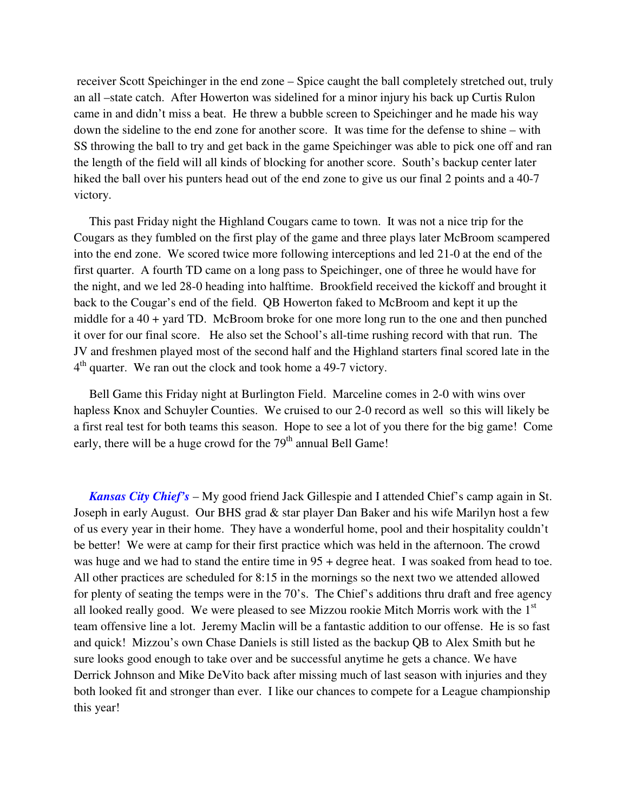receiver Scott Speichinger in the end zone – Spice caught the ball completely stretched out, truly an all –state catch. After Howerton was sidelined for a minor injury his back up Curtis Rulon came in and didn't miss a beat. He threw a bubble screen to Speichinger and he made his way down the sideline to the end zone for another score. It was time for the defense to shine – with SS throwing the ball to try and get back in the game Speichinger was able to pick one off and ran the length of the field will all kinds of blocking for another score. South's backup center later hiked the ball over his punters head out of the end zone to give us our final 2 points and a 40-7 victory.

 This past Friday night the Highland Cougars came to town. It was not a nice trip for the Cougars as they fumbled on the first play of the game and three plays later McBroom scampered into the end zone. We scored twice more following interceptions and led 21-0 at the end of the first quarter. A fourth TD came on a long pass to Speichinger, one of three he would have for the night, and we led 28-0 heading into halftime. Brookfield received the kickoff and brought it back to the Cougar's end of the field. QB Howerton faked to McBroom and kept it up the middle for a  $40 +$  yard TD. McBroom broke for one more long run to the one and then punched it over for our final score. He also set the School's all-time rushing record with that run. The JV and freshmen played most of the second half and the Highland starters final scored late in the 4<sup>th</sup> quarter. We ran out the clock and took home a 49-7 victory.

 Bell Game this Friday night at Burlington Field. Marceline comes in 2-0 with wins over hapless Knox and Schuyler Counties. We cruised to our 2-0 record as well so this will likely be a first real test for both teams this season. Hope to see a lot of you there for the big game! Come early, there will be a huge crowd for the 79<sup>th</sup> annual Bell Game!

 *Kansas City Chief's* – My good friend Jack Gillespie and I attended Chief's camp again in St. Joseph in early August. Our BHS grad & star player Dan Baker and his wife Marilyn host a few of us every year in their home. They have a wonderful home, pool and their hospitality couldn't be better! We were at camp for their first practice which was held in the afternoon. The crowd was huge and we had to stand the entire time in 95 + degree heat. I was soaked from head to toe. All other practices are scheduled for 8:15 in the mornings so the next two we attended allowed for plenty of seating the temps were in the 70's. The Chief's additions thru draft and free agency all looked really good. We were pleased to see Mizzou rookie Mitch Morris work with the  $1<sup>st</sup>$ team offensive line a lot. Jeremy Maclin will be a fantastic addition to our offense. He is so fast and quick! Mizzou's own Chase Daniels is still listed as the backup QB to Alex Smith but he sure looks good enough to take over and be successful anytime he gets a chance. We have Derrick Johnson and Mike DeVito back after missing much of last season with injuries and they both looked fit and stronger than ever. I like our chances to compete for a League championship this year!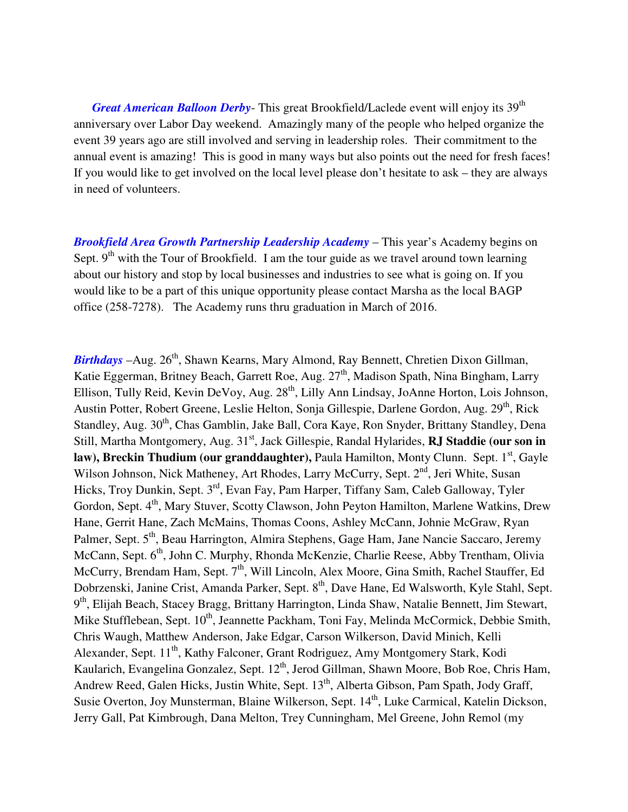*Great American Balloon Derby*- This great Brookfield/Laclede event will enjoy its 39<sup>th</sup> anniversary over Labor Day weekend. Amazingly many of the people who helped organize the event 39 years ago are still involved and serving in leadership roles. Their commitment to the annual event is amazing! This is good in many ways but also points out the need for fresh faces! If you would like to get involved on the local level please don't hesitate to ask – they are always in need of volunteers.

*Brookfield Area Growth Partnership Leadership Academy* – This year's Academy begins on Sept.  $9<sup>th</sup>$  with the Tour of Brookfield. I am the tour guide as we travel around town learning about our history and stop by local businesses and industries to see what is going on. If you would like to be a part of this unique opportunity please contact Marsha as the local BAGP office (258-7278). The Academy runs thru graduation in March of 2016.

*Birthdays* –Aug. 26<sup>th</sup>, Shawn Kearns, Mary Almond, Ray Bennett, Chretien Dixon Gillman, Katie Eggerman, Britney Beach, Garrett Roe, Aug. 27<sup>th</sup>, Madison Spath, Nina Bingham, Larry Ellison, Tully Reid, Kevin DeVoy, Aug. 28<sup>th</sup>, Lilly Ann Lindsay, JoAnne Horton, Lois Johnson, Austin Potter, Robert Greene, Leslie Helton, Sonja Gillespie, Darlene Gordon, Aug. 29<sup>th</sup>, Rick Standley, Aug. 30<sup>th</sup>, Chas Gamblin, Jake Ball, Cora Kaye, Ron Snyder, Brittany Standley, Dena Still, Martha Montgomery, Aug. 31<sup>st</sup>, Jack Gillespie, Randal Hylarides, **RJ Staddie (our son in law), Breckin Thudium (our granddaughter), Paula Hamilton, Monty Clunn. Sept. 1<sup>st</sup>, Gayle** Wilson Johnson, Nick Matheney, Art Rhodes, Larry McCurry, Sept. 2<sup>nd</sup>, Jeri White, Susan Hicks, Troy Dunkin, Sept. 3rd, Evan Fay, Pam Harper, Tiffany Sam, Caleb Galloway, Tyler Gordon, Sept. 4<sup>th</sup>, Mary Stuver, Scotty Clawson, John Peyton Hamilton, Marlene Watkins, Drew Hane, Gerrit Hane, Zach McMains, Thomas Coons, Ashley McCann, Johnie McGraw, Ryan Palmer, Sept. 5<sup>th</sup>, Beau Harrington, Almira Stephens, Gage Ham, Jane Nancie Saccaro, Jeremy McCann, Sept. 6<sup>th</sup>, John C. Murphy, Rhonda McKenzie, Charlie Reese, Abby Trentham, Olivia McCurry, Brendam Ham, Sept. 7<sup>th</sup>, Will Lincoln, Alex Moore, Gina Smith, Rachel Stauffer, Ed Dobrzenski, Janine Crist, Amanda Parker, Sept. 8<sup>th</sup>, Dave Hane, Ed Walsworth, Kyle Stahl, Sept. 9<sup>th</sup>, Elijah Beach, Stacey Bragg, Brittany Harrington, Linda Shaw, Natalie Bennett, Jim Stewart, Mike Stufflebean, Sept. 10<sup>th</sup>, Jeannette Packham, Toni Fay, Melinda McCormick, Debbie Smith, Chris Waugh, Matthew Anderson, Jake Edgar, Carson Wilkerson, David Minich, Kelli Alexander, Sept. 11<sup>th</sup>, Kathy Falconer, Grant Rodriguez, Amy Montgomery Stark, Kodi Kaularich, Evangelina Gonzalez, Sept. 12<sup>th</sup>, Jerod Gillman, Shawn Moore, Bob Roe, Chris Ham, Andrew Reed, Galen Hicks, Justin White, Sept. 13<sup>th</sup>, Alberta Gibson, Pam Spath, Jody Graff, Susie Overton, Joy Munsterman, Blaine Wilkerson, Sept. 14<sup>th</sup>, Luke Carmical, Katelin Dickson, Jerry Gall, Pat Kimbrough, Dana Melton, Trey Cunningham, Mel Greene, John Remol (my